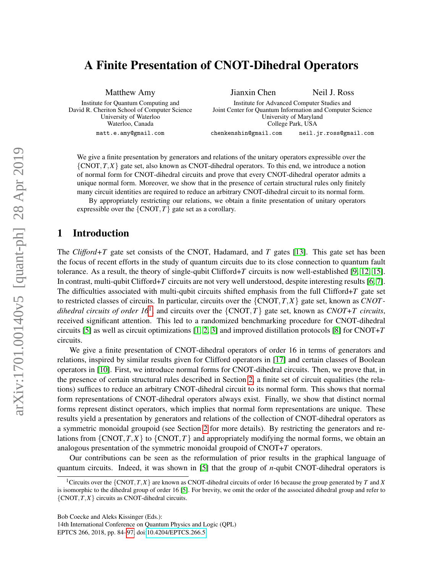# <span id="page-0-1"></span>A Finite Presentation of CNOT-Dihedral Operators

Matthew Amy Institute for Quantum Computing and David R. Cheriton School of Computer Science University of Waterloo Waterloo, Canada matt.e.amy@gmail.com Jianxin Chen Neil J. Ross Institute for Advanced Computer Studies and Joint Center for Quantum Information and Computer Science University of Maryland College Park, USA chenkenshin@gmail.com neil.jr.ross@gmail.com

We give a finite presentation by generators and relations of the unitary operators expressible over the  ${CNOT, T, X}$  gate set, also known as CNOT-dihedral operators. To this end, we introduce a notion of normal form for CNOT-dihedral circuits and prove that every CNOT-dihedral operator admits a unique normal form. Moreover, we show that in the presence of certain structural rules only finitely many circuit identities are required to reduce an arbitrary CNOT-dihedral circuit to its normal form.

By appropriately restricting our relations, we obtain a finite presentation of unitary operators expressible over the  $\{CNOT, T\}$  gate set as a corollary.

## 1 Introduction

The *Clifford+T* gate set consists of the CNOT, Hadamard, and *T* gates [\[13\]](#page-13-1). This gate set has been the focus of recent efforts in the study of quantum circuits due to its close connection to quantum fault tolerance. As a result, the theory of single-qubit Clifford+*T* circuits is now well-established [\[9,](#page-13-2) [12,](#page-13-3) [15\]](#page-13-4). In contrast, multi-qubit Clifford+*T* circuits are not very well understood, despite interesting results [\[6,](#page-12-0) [7\]](#page-12-1). The difficulties associated with multi-qubit circuits shifted emphasis from the full Clifford+*T* gate set to restricted classes of circuits. In particular, circuits over the {CNOT,*T*,*X*} gate set, known as *CNOT - dihedral circuits of order [1](#page-0-0)6*<sup>1</sup>, and circuits over the  $\{CNOT, T\}$  gate set, known as *CNOT+T circuits*, received significant attention. This led to a randomized benchmarking procedure for CNOT-dihedral circuits [\[5\]](#page-12-2) as well as circuit optimizations [\[1,](#page-12-3) [2,](#page-12-4) [3\]](#page-12-5) and improved distillation protocols [\[8\]](#page-13-5) for CNOT+*T* circuits.

We give a finite presentation of CNOT-dihedral operators of order 16 in terms of generators and relations, inspired by similar results given for Clifford operators in [\[17\]](#page-13-6) and certain classes of Boolean operators in [\[10\]](#page-13-7). First, we introduce normal forms for CNOT-dihedral circuits. Then, we prove that, in the presence of certain structural rules described in Section [2,](#page-1-0) a finite set of circuit equalities (the relations) suffices to reduce an arbitrary CNOT-dihedral circuit to its normal form. This shows that normal form representations of CNOT-dihedral operators always exist. Finally, we show that distinct normal forms represent distinct operators, which implies that normal form representations are unique. These results yield a presentation by generators and relations of the collection of CNOT-dihedral operators as a symmetric monoidal groupoid (see Section [2](#page-1-0) for more details). By restricting the generators and relations from  $\{CNOT, T, X\}$  to  $\{CNOT, T\}$  and appropriately modifying the normal forms, we obtain an analogous presentation of the symmetric monoidal groupoid of CNOT+*T* operators.

Our contributions can be seen as the reformulation of prior results in the graphical language of quantum circuits. Indeed, it was shown in [\[5\]](#page-12-2) that the group of *n*-qubit CNOT-dihedral operators is

Bob Coecke and Aleks Kissinger (Eds.):

14th International Conference on Quantum Physics and Logic (QPL) EPTCS 266, 2018, pp. 84[–97,](#page-13-0) doi[:10.4204/EPTCS.266.5](http://dx.doi.org/10.4204/EPTCS.266.5)

<span id="page-0-0"></span><sup>1</sup>Circuits over the {CNOT,*T*,*X*} are known as CNOT-dihedral circuits of order 16 because the group generated by *T* and *X* is isomorphic to the dihedral group of order 16 [\[5\]](#page-12-2). For brevity, we omit the order of the associated dihedral group and refer to  $\{CNOT, T, X\}$  circuits as CNOT-dihedral circuits.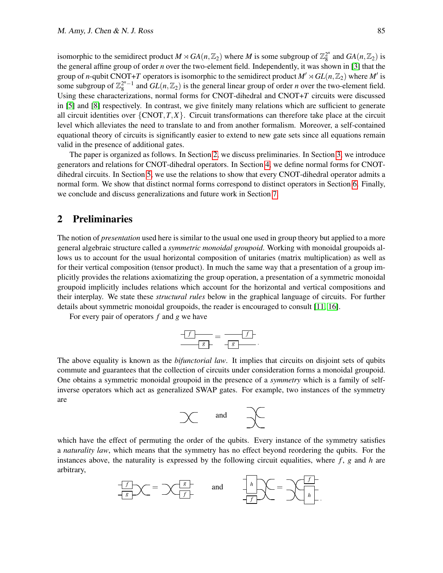isomorphic to the semidirect product  $M \rtimes GA(n, \mathbb{Z}_2)$  where  $M$  is some subgroup of  $\mathbb{Z}_8^{2^n}$  $^{2^n}_{8}$  and  $GA(n, \mathbb{Z}_2)$  is the general affine group of order *n* over the two-element field. Independently, it was shown in [\[3\]](#page-12-5) that the group of *n*-qubit CNOT+T operators is isomorphic to the semidirect product  $M' \rtimes GL(n, \mathbb{Z}_2)$  where  $M'$  is some subgroup of  $\mathbb{Z}_8^{2^n-1}$  and  $GL(n,\mathbb{Z}_2)$  is the general linear group of order *n* over the two-element field. Using these characterizations, normal forms for CNOT-dihedral and CNOT+*T* circuits were discussed in [\[5\]](#page-12-2) and [\[8\]](#page-13-5) respectively. In contrast, we give finitely many relations which are sufficient to generate all circuit identities over  $\{CNOT, T, X\}$ . Circuit transformations can therefore take place at the circuit level which alleviates the need to translate to and from another formalism. Moreover, a self-contained equational theory of circuits is significantly easier to extend to new gate sets since all equations remain valid in the presence of additional gates.

The paper is organized as follows. In Section [2,](#page-1-0) we discuss preliminaries. In Section [3,](#page-2-0) we introduce generators and relations for CNOT-dihedral operators. In Section [4,](#page-5-0) we define normal forms for CNOTdihedral circuits. In Section [5,](#page-7-0) we use the relations to show that every CNOT-dihedral operator admits a normal form. We show that distinct normal forms correspond to distinct operators in Section [6.](#page-10-0) Finally, we conclude and discuss generalizations and future work in Section [7.](#page-11-0)

# <span id="page-1-0"></span>2 Preliminaries

The notion of *presentation* used here is similar to the usual one used in group theory but applied to a more general algebraic structure called a *symmetric monoidal groupoid*. Working with monoidal groupoids allows us to account for the usual horizontal composition of unitaries (matrix multiplication) as well as for their vertical composition (tensor product). In much the same way that a presentation of a group implicitly provides the relations axiomatizing the group operation, a presentation of a symmetric monoidal groupoid implicitly includes relations which account for the horizontal and vertical compositions and their interplay. We state these *structural rules* below in the graphical language of circuits. For further details about symmetric monoidal groupoids, the reader is encouraged to consult [\[11,](#page-13-8) [16\]](#page-13-9).

For every pair of operators *f* and *g* we have

$$
\frac{f}{g} = \frac{f}{g}.
$$

The above equality is known as the *bifunctorial law*. It implies that circuits on disjoint sets of qubits commute and guarantees that the collection of circuits under consideration forms a monoidal groupoid. One obtains a symmetric monoidal groupoid in the presence of a *symmetry* which is a family of selfinverse operators which act as generalized SWAP gates. For example, two instances of the symmetry are

$$
\begin{matrix} & & \\ & & \end{matrix}
$$
 and 
$$
\begin{matrix} & & \\ & & \end{matrix}
$$

which have the effect of permuting the order of the qubits. Every instance of the symmetry satisfies a *naturality law*, which means that the symmetry has no effect beyond reordering the qubits. For the instances above, the naturality is expressed by the following circuit equalities, where *f* , *g* and *h* are arbitrary,

$$
\frac{f}{f} \times f = \frac{g}{f} \qquad \text{and} \qquad \frac{f}{f} \times f = \frac{f}{f} \times \frac{f}{f}.
$$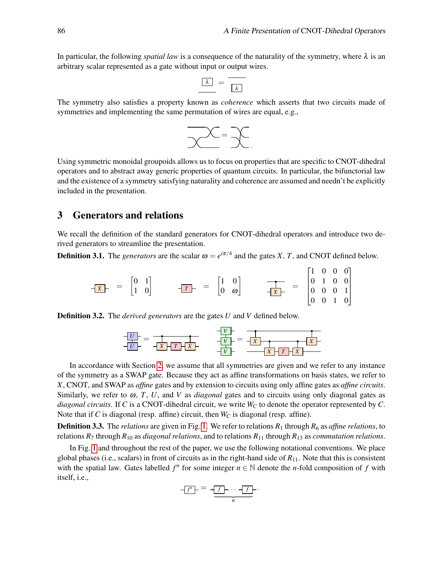In particular, the following *spatial law* is a consequence of the naturality of the symmetry, where  $\lambda$  is an arbitrary scalar represented as a gate without input or output wires.

$$
\boxed{\lambda} = \boxed{\lambda}
$$

The symmetry also satisfies a property known as *coherence* which asserts that two circuits made of symmetries and implementing the same permutation of wires are equal, e.g.,



Using symmetric monoidal groupoids allows us to focus on properties that are specific to CNOT-dihedral operators and to abstract away generic properties of quantum circuits. In particular, the bifunctorial law and the existence of a symmetry satisfying naturality and coherence are assumed and needn't be explicitly included in the presentation.

# <span id="page-2-0"></span>3 Generators and relations

We recall the definition of the standard generators for CNOT-dihedral operators and introduce two derived generators to streamline the presentation.

<span id="page-2-1"></span>**Definition 3.1.** The *generators* are the scalar  $\omega = e^{i\pi/4}$  and the gates *X*, *T*, and CNOT defined below.

$$
\frac{1}{|X|} = \begin{bmatrix} 0 & 1 \\ 1 & 0 \end{bmatrix} \qquad \frac{1}{|X|} = \begin{bmatrix} 1 & 0 \\ 0 & \omega \end{bmatrix} \qquad \frac{1}{|X|} = \begin{bmatrix} 1 & 0 & 0 & 0 \\ 0 & 1 & 0 & 0 \\ 0 & 0 & 0 & 1 \\ 0 & 0 & 1 & 0 \end{bmatrix}
$$

<span id="page-2-2"></span>Definition 3.2. The *derived generators* are the gates *U* and *V* defined below.



In accordance with Section [2,](#page-1-0) we assume that all symmetries are given and we refer to any instance of the symmetry as a SWAP gate. Because they act as affine transformations on basis states, we refer to *X*, CNOT, and SWAP as *affine* gates and by extension to circuits using only affine gates as *affine circuits*. Similarly, we refer to  $\omega$ , *T*, *U*, and *V* as *diagonal* gates and to circuits using only diagonal gates as *diagonal circuits*. If *C* is a CNOT-dihedral circuit, we write *W<sup>C</sup>* to denote the operator represented by *C*. Note that if *C* is diagonal (resp. affine) circuit, then *W<sup>C</sup>* is diagonal (resp. affine).

**Definition 3.3.** The *relations* are given in Fig. [1.](#page-3-0) We refer to relations  $R_1$  through  $R_6$  as *affine relations*, to relations *R*<sup>7</sup> through *R*<sup>10</sup> as *diagonal relations*, and to relations *R*<sup>11</sup> through *R*<sup>13</sup> as *commutation relations*.

In Fig. [1](#page-3-0) and throughout the rest of the paper, we use the following notational conventions. We place global phases (i.e., scalars) in front of circuits as in the right-hand side of *R*11. Note that this is consistent with the spatial law. Gates labelled  $f^n$  for some integer  $n \in \mathbb{N}$  denote the *n*-fold composition of  $f$  with itself, i.e.,

$$
\underbrace{f^n}_{n} = \underbrace{-f}_{n} \cdots \underbrace{-f}_{n} \cdots
$$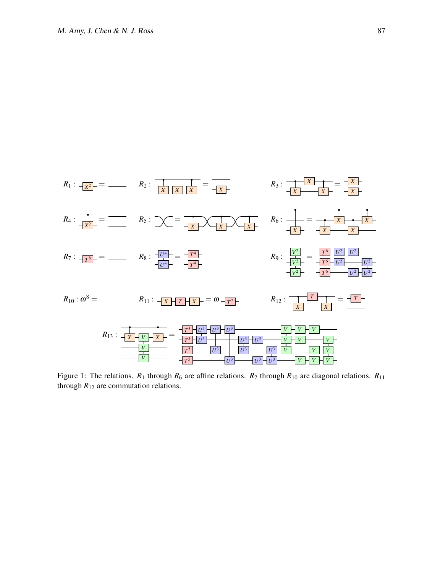

<span id="page-3-0"></span>Figure 1: The relations.  $R_1$  through  $R_6$  are affine relations.  $R_7$  through  $R_{10}$  are diagonal relations.  $R_{11}$ through  $R_{12}$  are commutation relations.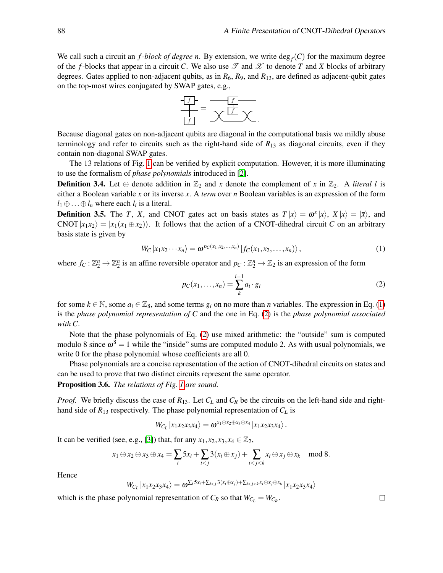We call such a circuit an  $f$ -block of degree n. By extension, we write  $deg_f(C)$  for the maximum degree of the *f*-blocks that appear in a circuit *C*. We also use  $\mathscr T$  and  $\mathscr X$  to denote *T* and *X* blocks of arbitrary degrees. Gates applied to non-adjacent qubits, as in  $R_6$ ,  $R_9$ , and  $R_{13}$ , are defined as adjacent-qubit gates on the top-most wires conjugated by SWAP gates, e.g.,



Because diagonal gates on non-adjacent qubits are diagonal in the computational basis we mildly abuse terminology and refer to circuits such as the right-hand side of  $R_{13}$  as diagonal circuits, even if they contain non-diagonal SWAP gates.

The 13 relations of Fig. [1](#page-3-0) can be verified by explicit computation. However, it is more illuminating to use the formalism of *phase polynomials* introduced in [\[2\]](#page-12-4).

**Definition 3.4.** Let  $\oplus$  denote addition in  $\mathbb{Z}_2$  and  $\overline{x}$  denote the complement of x in  $\mathbb{Z}_2$ . A *literal l* is either a Boolean variable *x* or its inverse  $\bar{x}$ . A *term* over *n* Boolean variables is an expression of the form  $l_1 \oplus \ldots \oplus l_n$  where each  $l_i$  is a literal.

**Definition 3.5.** The *T*, *X*, and CNOT gates act on basis states as  $T|x\rangle = \omega^x|x\rangle$ ,  $X|x\rangle = |\overline{x}\rangle$ , and  $CNOT |x_1x_2\rangle = |x_1(x_1 \oplus x_2)\rangle$ . It follows that the action of a CNOT-dihedral circuit *C* on an arbitrary basis state is given by

<span id="page-4-0"></span>
$$
W_C |x_1x_2\cdots x_n\rangle = \omega^{pc(x_1,x_2,\ldots,x_n)} |f_C(x_1,x_2,\ldots,x_n)\rangle, \qquad (1)
$$

where  $f_C: \mathbb{Z}_2^n \to \mathbb{Z}_2^n$  is an affine reversible operator and  $p_C: \mathbb{Z}_2^n \to \mathbb{Z}_2$  is an expression of the form

<span id="page-4-1"></span>
$$
p_C(x_1,\ldots,x_n) = \sum_{k=1}^{i=1} a_i \cdot g_i \tag{2}
$$

for some  $k \in \mathbb{N}$ , some  $a_i \in \mathbb{Z}_8$ , and some terms  $g_i$  on no more than *n* variables. The expression in Eq. [\(1\)](#page-4-0) is the *phase polynomial representation of C* and the one in Eq. [\(2\)](#page-4-1) is the *phase polynomial associated with C*.

Note that the phase polynomials of Eq. [\(2\)](#page-4-1) use mixed arithmetic: the "outside" sum is computed modulo 8 since  $\omega^8 = 1$  while the "inside" sums are computed modulo 2. As with usual polynomials, we write 0 for the phase polynomial whose coefficients are all 0.

Phase polynomials are a concise representation of the action of CNOT-dihedral circuits on states and can be used to prove that two distinct circuits represent the same operator.

Proposition 3.6. *The relations of Fig. [1](#page-3-0) are sound.*

*Proof.* We briefly discuss the case of *R*13. Let *C<sup>L</sup>* and *C<sup>R</sup>* be the circuits on the left-hand side and righthand side of  $R_{13}$  respectively. The phase polynomial representation of  $C_L$  is

$$
W_{C_L} |x_1x_2x_3x_4\rangle = \boldsymbol{\omega}^{x_1 \oplus x_2 \oplus x_3 \oplus x_4} |x_1x_2x_3x_4\rangle.
$$

It can be verified (see, e.g., [\[3\]](#page-12-5)) that, for any  $x_1, x_2, x_3, x_4 \in \mathbb{Z}_2$ ,

$$
x_1 \oplus x_2 \oplus x_3 \oplus x_4 = \sum_i 5x_i + \sum_{i < j} 3(x_i \oplus x_j) + \sum_{i < j < k} x_i \oplus x_j \oplus x_k \mod 8.
$$

Hence

$$
W_{C_L}|x_1x_2x_3x_4\rangle = \omega^{\sum_i 5x_i + \sum_{i < j} 3(x_i \oplus x_j) + \sum_{i < j < k} x_i \oplus x_j \oplus x_k} |x_1x_2x_3x_4\rangle
$$

which is the phase polynomial representation of  $C_R$  so that  $W_{C_L} = W_{C_R}$ .

 $\Box$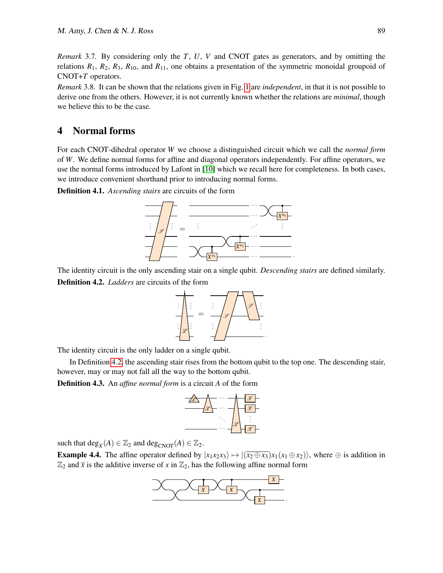*Remark* 3.7*.* By considering only the *T*, *U*, *V* and CNOT gates as generators, and by omitting the relations  $R_1$ ,  $R_2$ ,  $R_3$ ,  $R_{10}$ , and  $R_{11}$ , one obtains a presentation of the symmetric monoidal groupoid of CNOT+*T* operators.

*Remark* 3.8*.* It can be shown that the relations given in Fig. [1](#page-3-0) are *independent*, in that it is not possible to derive one from the others. However, it is not currently known whether the relations are *minimal*, though we believe this to be the case.

## <span id="page-5-0"></span>4 Normal forms

For each CNOT-dihedral operator *W* we choose a distinguished circuit which we call the *normal form* of *W*. We define normal forms for affine and diagonal operators independently. For affine operators, we use the normal forms introduced by Lafont in [\[10\]](#page-13-7) which we recall here for completeness. In both cases, we introduce convenient shorthand prior to introducing normal forms.

Definition 4.1. *Ascending stairs* are circuits of the form



<span id="page-5-1"></span>The identity circuit is the only ascending stair on a single qubit. *Descending stairs* are defined similarly. Definition 4.2. *Ladders* are circuits of the form



The identity circuit is the only ladder on a single qubit.

In Definition [4.2,](#page-5-1) the ascending stair rises from the bottom qubit to the top one. The descending stair, however, may or may not fall all the way to the bottom qubit.

<span id="page-5-3"></span>Definition 4.3. An *affine normal form* is a circuit *A* of the form



such that  $deg_X(A) \in \mathbb{Z}_2$  and  $deg_{CNOT}(A) \in \mathbb{Z}_2$ .

<span id="page-5-2"></span>**Example 4.4.** The affine operator defined by  $|x_1x_2x_3\rangle \mapsto |(\overline{x_2 \oplus x_3})x_1(x_1 \oplus x_2)\rangle$ , where  $\oplus$  is addition in  $\mathbb{Z}_2$  and  $\bar{x}$  is the additive inverse of *x* in  $\mathbb{Z}_2$ , has the following affine normal form

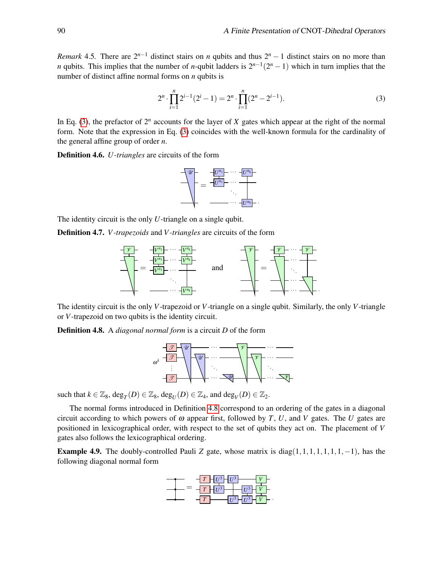*Remark* 4.5*.* There are  $2^{n-1}$  distinct stairs on *n* qubits and thus  $2^n - 1$  distinct stairs on no more than *n* qubits. This implies that the number of *n*-qubit ladders is  $2^{n-1}(2^n - 1)$  which in turn implies that the number of distinct affine normal forms on *n* qubits is

<span id="page-6-0"></span>
$$
2^{n} \cdot \prod_{i=1}^{n} 2^{i-1} (2^{i} - 1) = 2^{n} \cdot \prod_{i=1}^{n} (2^{n} - 2^{i-1}).
$$
\n(3)

In Eq. [\(3\)](#page-6-0), the prefactor of  $2^n$  accounts for the layer of *X* gates which appear at the right of the normal form. Note that the expression in Eq. [\(3\)](#page-6-0) coincides with the well-known formula for the cardinality of the general affine group of order *n*.

Definition 4.6. *U -triangles* are circuits of the form



The identity circuit is the only *U*-triangle on a single qubit.

Definition 4.7. *V -trapezoids* and *V -triangles* are circuits of the form



The identity circuit is the only *V*-trapezoid or *V*-triangle on a single qubit. Similarly, the only *V*-triangle or *V*-trapezoid on two qubits is the identity circuit.

<span id="page-6-1"></span>Definition 4.8. A *diagonal normal form* is a circuit *D* of the form



such that  $k \in \mathbb{Z}_8$ ,  $\deg_T(D) \in \mathbb{Z}_8$ ,  $\deg_U(D) \in \mathbb{Z}_4$ , and  $\deg_V(D) \in \mathbb{Z}_2$ .

The normal forms introduced in Definition [4.8](#page-6-1) correspond to an ordering of the gates in a diagonal circuit according to which powers of  $\omega$  appear first, followed by *T*, *U*, and *V* gates. The *U* gates are positioned in lexicographical order, with respect to the set of qubits they act on. The placement of *V* gates also follows the lexicographical ordering.

<span id="page-6-2"></span>**Example 4.9.** The doubly-controlled Pauli *Z* gate, whose matrix is diag(1,1,1,1,1,1,1,−1), has the following diagonal normal form

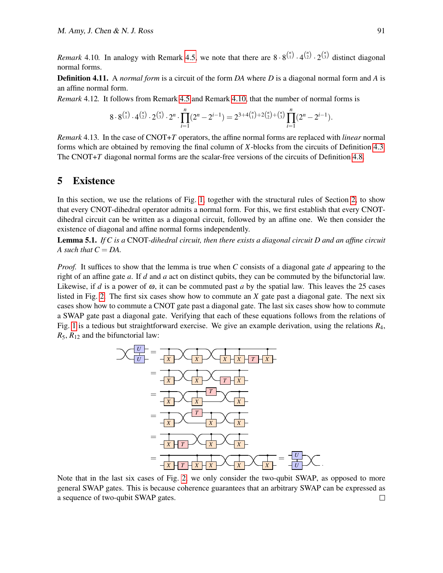*Remark* 4.10. In analogy with Remark [4.5,](#page-5-2) we note that there are  $8 \cdot 8^{n \choose 1} \cdot 4^{n \choose 2} \cdot 2^{n \choose 3}$  distinct diagonal normal forms.

Definition 4.11. A *normal form* is a circuit of the form *DA* where *D* is a diagonal normal form and *A* is an affine normal form.

<span id="page-7-2"></span>*Remark* 4.12*.* It follows from Remark [4.5](#page-5-2) and Remark [4.10,](#page-6-2) that the number of normal forms is

$$
8 \cdot 8^{\binom{n}{1}} \cdot 4^{\binom{n}{2}} \cdot 2^{\binom{n}{3}} \cdot 2^n \cdot \prod_{i=1}^n (2^n - 2^{i-1}) = 2^{3+4\binom{n}{1}+2\binom{n}{2}+\binom{n}{3}} \prod_{i=1}^n (2^n - 2^{i-1}).
$$

*Remark* 4.13*.* In the case of CNOT+*T* operators, the affine normal forms are replaced with *linear* normal forms which are obtained by removing the final column of *X*-blocks from the circuits of Definition [4.3.](#page-5-3) The CNOT+T diagonal normal forms are the scalar-free versions of the circuits of Definition [4.8.](#page-6-1)

#### <span id="page-7-0"></span>5 Existence

In this section, we use the relations of Fig. [1,](#page-3-0) together with the structural rules of Section [2,](#page-1-0) to show that every CNOT-dihedral operator admits a normal form. For this, we first establish that every CNOTdihedral circuit can be written as a diagonal circuit, followed by an affine one. We then consider the existence of diagonal and affine normal forms independently.

<span id="page-7-1"></span>Lemma 5.1. *If C is a* CNOT*-dihedral circuit, then there exists a diagonal circuit D and an affine circuit A such that*  $C = DA$ .

*Proof.* It suffices to show that the lemma is true when *C* consists of a diagonal gate *d* appearing to the right of an affine gate *a*. If *d* and *a* act on distinct qubits, they can be commuted by the bifunctorial law. Likewise, if *d* is a power of  $\omega$ , it can be commuted past *a* by the spatial law. This leaves the 25 cases listed in Fig. [2.](#page-8-0) The first six cases show how to commute an *X* gate past a diagonal gate. The next six cases show how to commute a CNOT gate past a diagonal gate. The last six cases show how to commute a SWAP gate past a diagonal gate. Verifying that each of these equations follows from the relations of Fig. [1](#page-3-0) is a tedious but straightforward exercise. We give an example derivation, using the relations *R*4,  $R_5$ ,  $R_{12}$  and the bifunctorial law:



Note that in the last six cases of Fig. [2,](#page-8-0) we only consider the two-qubit SWAP, as opposed to more general SWAP gates. This is because coherence guarantees that an arbitrary SWAP can be expressed as a sequence of two-qubit SWAP gates. $\Box$ 

.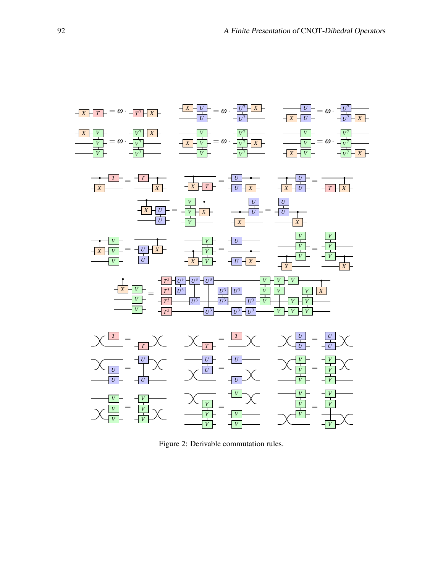

<span id="page-8-0"></span>Figure 2: Derivable commutation rules.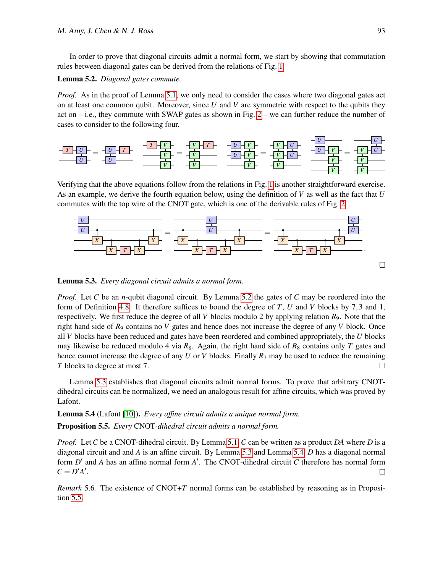In order to prove that diagonal circuits admit a normal form, we start by showing that commutation rules between diagonal gates can be derived from the relations of Fig. [1.](#page-3-0)

<span id="page-9-0"></span>Lemma 5.2. *Diagonal gates commute.*

*Proof.* As in the proof of Lemma [5.1,](#page-7-1) we only need to consider the cases where two diagonal gates act on at least one common qubit. Moreover, since *U* and *V* are symmetric with respect to the qubits they act on  $-$  i.e., they commute with SWAP gates as shown in Fig.  $2 -$  we can further reduce the number of cases to consider to the following four.



Verifying that the above equations follow from the relations in Fig. [1](#page-3-0) is another straightforward exercise. As an example, we derive the fourth equation below, using the definition of *V* as well as the fact that *U* commutes with the top wire of the CNOT gate, which is one of the derivable rules of Fig. [2.](#page-8-0)



<span id="page-9-1"></span>Lemma 5.3. *Every diagonal circuit admits a normal form.*

*Proof.* Let *C* be an *n*-qubit diagonal circuit. By Lemma [5.2](#page-9-0) the gates of *C* may be reordered into the form of Definition [4.8.](#page-6-1) It therefore suffices to bound the degree of *T*, *U* and *V* blocks by 7,3 and 1, respectively. We first reduce the degree of all *V* blocks modulo 2 by applying relation *R*9. Note that the right hand side of *R*<sup>9</sup> contains no *V* gates and hence does not increase the degree of any *V* block. Once all *V* blocks have been reduced and gates have been reordered and combined appropriately, the *U* blocks may likewise be reduced modulo 4 via  $R_8$ . Again, the right hand side of  $R_8$  contains only *T* gates and hence cannot increase the degree of any *U* or *V* blocks. Finally *R*<sup>7</sup> may be used to reduce the remaining *T* blocks to degree at most 7.  $\Box$ 

Lemma [5.3](#page-9-1) establishes that diagonal circuits admit normal forms. To prove that arbitrary CNOTdihedral circuits can be normalized, we need an analogous result for affine circuits, which was proved by Lafont.

<span id="page-9-2"></span>Lemma 5.4 (Lafont [\[10\]](#page-13-7)). *Every affine circuit admits a unique normal form.*

<span id="page-9-3"></span>Proposition 5.5. *Every* CNOT*-dihedral circuit admits a normal form.*

*Proof.* Let *C* be a CNOT-dihedral circuit. By Lemma [5.1,](#page-7-1) *C* can be written as a product *DA* where *D* is a diagonal circuit and and *A* is an affine circuit. By Lemma [5.3](#page-9-1) and Lemma [5.4,](#page-9-2) *D* has a diagonal normal form  $D'$  and  $A$  has an affine normal form  $A'$ . The CNOT-dihedral circuit  $C$  therefore has normal form  $C = D'A'.$  $\Box$ 

*Remark* 5.6*.* The existence of CNOT+*T* normal forms can be established by reasoning as in Proposition [5.5.](#page-9-3)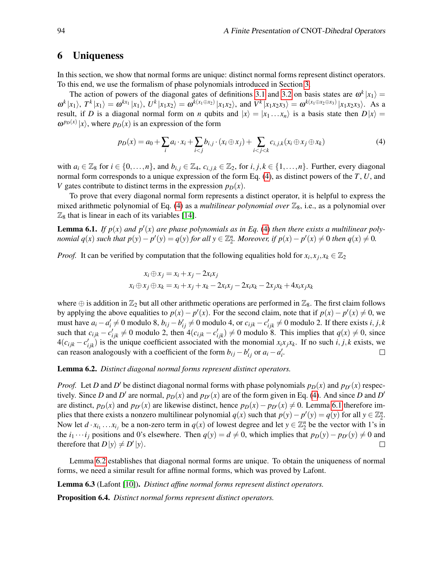# <span id="page-10-0"></span>6 Uniqueness

In this section, we show that normal forms are unique: distinct normal forms represent distinct operators. To this end, we use the formalism of phase polynomials introduced in Section [3.](#page-2-0)

The action of powers of the diagonal gates of definitions [3.1](#page-2-1) and [3.2](#page-2-2) on basis states are  $\omega^k |x_1\rangle =$  $\omega^k|x_1\rangle$ ,  $T^k|x_1\rangle = \omega^{kx_1}|x_1\rangle$ ,  $U^k|x_1x_2\rangle = \omega^{k(x_1 \oplus x_2)}|x_1x_2\rangle$ , and  $V^k|x_1x_2x_3\rangle = \omega^{k(x_1 \oplus x_2 \oplus x_3)}|x_1x_2x_3\rangle$ . As a result, if *D* is a diagonal normal form on *n* qubits and  $|x\rangle = |x_1 ... x_n\rangle$  is a basis state then  $D|x\rangle =$  $\omega^{p_D(x)} |x\rangle$ , where  $p_D(x)$  is an expression of the form

<span id="page-10-1"></span>
$$
p_D(x) = a_0 + \sum_i a_i \cdot x_i + \sum_{i < j} b_{i,j} \cdot (x_i \oplus x_j) + \sum_{i < j < k} c_{i,j,k} (x_i \oplus x_j \oplus x_k) \tag{4}
$$

with  $a_i \in \mathbb{Z}_8$  for  $i \in \{0, ..., n\}$ , and  $b_{i,j} \in \mathbb{Z}_4$ ,  $c_{i,j,k} \in \mathbb{Z}_2$ , for  $i, j, k \in \{1, ..., n\}$ . Further, every diagonal normal form corresponds to a unique expression of the form Eq. [\(4\)](#page-10-1), as distinct powers of the *T*, *U*, and *V* gates contribute to distinct terms in the expression  $p_D(x)$ .

To prove that every diagonal normal form represents a distinct operator, it is helpful to express the mixed arithmetic polynomial of Eq.  $(4)$  as a *multilinear polynomial over*  $\mathbb{Z}_8$ , i.e., as a polynomial over  $\mathbb{Z}_8$  that is linear in each of its variables [\[14\]](#page-13-10).

<span id="page-10-2"></span>**Lemma 6.1.** If  $p(x)$  and  $p'(x)$  are phase polynomials as in Eq. [\(4\)](#page-10-1) then there exists a multilinear polynomial  $q(x)$  such that  $p(y) - p'(y) = q(y)$  for all  $y \in \mathbb{Z}_2^n$ . Moreover, if  $p(x) - p'(x) \neq 0$  then  $q(x) \neq 0$ .

*Proof.* It can be verified by computation that the following equalities hold for  $x_i, x_j, x_k \in \mathbb{Z}_2$ 

$$
x_i \oplus x_j = x_i + x_j - 2x_i x_j
$$
  

$$
x_i \oplus x_j \oplus x_k = x_i + x_j + x_k - 2x_i x_j - 2x_i x_k - 2x_j x_k + 4x_i x_j x_k
$$

where  $\oplus$  is addition in  $\mathbb{Z}_2$  but all other arithmetic operations are performed in  $\mathbb{Z}_8$ . The first claim follows by applying the above equalities to  $p(x) - p'(x)$ . For the second claim, note that if  $p(x) - p'(x) \neq 0$ , we must have  $a_i - a'_i \neq 0$  modulo 8,  $b_{ij} - b'_{ij} \neq 0$  modulo 4, or  $c_{ijk} - c'_{ijk} \neq 0$  modulo 2. If there exists  $i, j, k$ such that  $c_{ijk} - c'_{ijk} \neq 0$  modulo 2, then  $4(c_{ijk} - c'_{ijk}) \neq 0$  modulo 8. This implies that  $q(x) \neq 0$ , since  $4(c_{ijk} - c'_{ijk})$  is the unique coefficient associated with the monomial  $x_i x_j x_k$ . If no such *i*, *j*, *k* exists, we can reason analogously with a coefficient of the form  $b_{ij} - b'_{ij}$  or  $a_i - a'_i$ .  $\Box$ 

<span id="page-10-3"></span>Lemma 6.2. *Distinct diagonal normal forms represent distinct operators.*

*Proof.* Let *D* and *D'* be distinct diagonal normal forms with phase polynomials  $p_D(x)$  and  $p_D'(x)$  respectively. Since *D* and *D'* are normal,  $p_D(x)$  and  $p_{D'}(x)$  are of the form given in Eq. [\(4\)](#page-10-1). And since *D* and *D'* are distinct,  $p_D(x)$  and  $p_D(x)$  are likewise distinct, hence  $p_D(x) - p_D(x) \neq 0$ . Lemma [6.1](#page-10-2) therefore implies that there exists a nonzero multilinear polynomial  $q(x)$  such that  $p(y) - p'(y) = q(y)$  for all  $y \in \mathbb{Z}_2^n$ . Now let  $d \cdot x_{i_1} \ldots x_{i_j}$  be a non-zero term in  $q(x)$  of lowest degree and let  $y \in \mathbb{Z}_2^n$  be the vector with 1's in the *i*<sub>1</sub> ···*i*<sub>*j*</sub> positions and 0's elsewhere. Then *q*(*y*) = *d* ≠ 0, which implies that  $p_D(y) - p_D(y) \neq 0$  and therefore that  $D|y\rangle \neq D'|y\rangle$ .  $\Box$ 

Lemma [6.2](#page-10-3) establishes that diagonal normal forms are unique. To obtain the uniqueness of normal forms, we need a similar result for affine normal forms, which was proved by Lafont.

<span id="page-10-4"></span>Lemma 6.3 (Lafont [\[10\]](#page-13-7)). *Distinct affine normal forms represent distinct operators.*

<span id="page-10-5"></span>Proposition 6.4. *Distinct normal forms represent distinct operators.*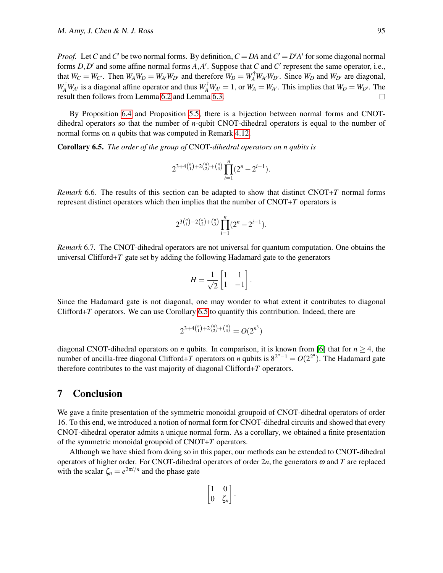*Proof.* Let *C* and *C'* be two normal forms. By definition,  $C = DA$  and  $C' = D'A'$  for some diagonal normal forms  $D, D'$  and some affine normal forms  $A, A'$ . Suppose that  $C$  and  $C'$  represent the same operator, i.e., that  $W_C = W_{C'}$ . Then  $W_A W_D = W_{A'} W_{D'}$  and therefore  $W_D = W_A^{\dagger} W_{A'} W_{D'}$ . Since  $W_D$  and  $W_{D'}$  are diagonal,  $W_A^{\dagger} W_{A'}$  is a diagonal affine operator and thus  $W_A^{\dagger} W_{A'} = 1$ , or  $W_A = W_{A'}$ . This implies that  $W_D = W_{D'}$ . The result then follows from Lemma [6.2](#page-10-3) and Lemma [6.3.](#page-10-4)  $\Box$ 

By Proposition [6.4](#page-10-5) and Proposition [5.5,](#page-9-3) there is a bijection between normal forms and CNOTdihedral operators so that the number of *n*-qubit CNOT-dihedral operators is equal to the number of normal forms on *n* qubits that was computed in Remark [4.12.](#page-7-2)

<span id="page-11-1"></span>Corollary 6.5. *The order of the group of* CNOT*-dihedral operators on n qubits is*

$$
2^{3+4{n \choose 1}+2{n \choose 2}+{n \choose 3}}\prod_{i=1}^n(2^n-2^{i-1}).
$$

*Remark* 6.6*.* The results of this section can be adapted to show that distinct CNOT+*T* normal forms represent distinct operators which then implies that the number of CNOT+*T* operators is

$$
2^{3 {n \choose 1} + 2 {n \choose 2} + {n \choose 3}} \prod_{i=1}^{n} (2^n - 2^{i-1}).
$$

*Remark* 6.7*.* The CNOT-dihedral operators are not universal for quantum computation. One obtains the universal Clifford $+T$  gate set by adding the following Hadamard gate to the generators

$$
H = \frac{1}{\sqrt{2}} \begin{bmatrix} 1 & 1 \\ 1 & -1 \end{bmatrix}.
$$

Since the Hadamard gate is not diagonal, one may wonder to what extent it contributes to diagonal Clifford+*T* operators. We can use Corollary [6.5](#page-11-1) to quantify this contribution. Indeed, there are

$$
2^{3+4{n \choose 1}+2{n \choose 2}+{n \choose 3}} = O(2^{n^3})
$$

diagonal CNOT-dihedral operators on *n* qubits. In comparison, it is known from [\[6\]](#page-12-0) that for  $n \ge 4$ , the number of ancilla-free diagonal Clifford+*T* operators on *n* qubits is  $8^{2^n-1} = O(2^{2^n})$ . The Hadamard gate therefore contributes to the vast majority of diagonal Clifford+*T* operators.

# <span id="page-11-0"></span>7 Conclusion

We gave a finite presentation of the symmetric monoidal groupoid of CNOT-dihedral operators of order 16. To this end, we introduced a notion of normal form for CNOT-dihedral circuits and showed that every CNOT-dihedral operator admits a unique normal form. As a corollary, we obtained a finite presentation of the symmetric monoidal groupoid of CNOT+*T* operators.

Although we have shied from doing so in this paper, our methods can be extended to CNOT-dihedral operators of higher order. For CNOT-dihedral operators of order 2*n*, the generators ω and *T* are replaced with the scalar  $\zeta_n = e^{2\pi i/n}$  and the phase gate

$$
\begin{bmatrix} 1 & 0 \\ 0 & \zeta_n \end{bmatrix}.
$$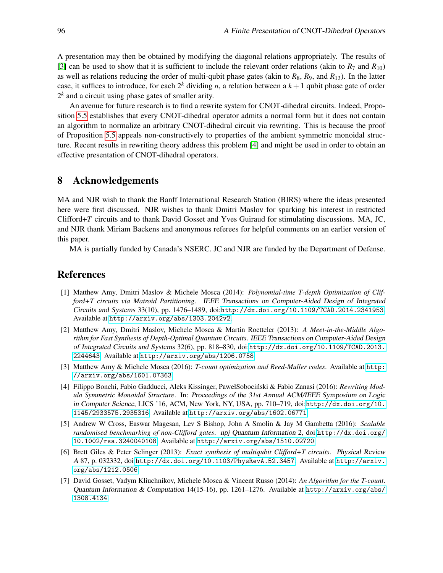A presentation may then be obtained by modifying the diagonal relations appropriately. The results of [\[3\]](#page-12-5) can be used to show that it is sufficient to include the relevant order relations (akin to  $R_7$  and  $R_{10}$ ) as well as relations reducing the order of multi-qubit phase gates (akin to  $R_8$ ,  $R_9$ , and  $R_{13}$ ). In the latter case, it suffices to introduce, for each  $2^k$  dividing *n*, a relation between a  $k + 1$  qubit phase gate of order  $2<sup>k</sup>$  and a circuit using phase gates of smaller arity.

An avenue for future research is to find a rewrite system for CNOT-dihedral circuits. Indeed, Proposition [5.5](#page-9-3) establishes that every CNOT-dihedral operator admits a normal form but it does not contain an algorithm to normalize an arbitrary CNOT-dihedral circuit via rewriting. This is because the proof of Proposition [5.5](#page-9-3) appeals non-constructively to properties of the ambient symmetric monoidal structure. Recent results in rewriting theory address this problem [\[4\]](#page-12-6) and might be used in order to obtain an effective presentation of CNOT-dihedral operators.

# 8 Acknowledgements

MA and NJR wish to thank the Banff International Research Station (BIRS) where the ideas presented here were first discussed. NJR wishes to thank Dmitri Maslov for sparking his interest in restricted Clifford+*T* circuits and to thank David Gosset and Yves Guiraud for stimulating discussions. MA, JC, and NJR thank Miriam Backens and anonymous referees for helpful comments on an earlier version of this paper.

MA is partially funded by Canada's NSERC. JC and NJR are funded by the Department of Defense.

## References

- <span id="page-12-3"></span>[1] Matthew Amy, Dmitri Maslov & Michele Mosca (2014): *Polynomial-time T-depth Optimization of Clifford+T circuits via Matroid Partitioning*. IEEE Transactions on Computer-Aided Design of Integrated Circuits and Systems 33(10), pp. 1476–1489, doi:[http://dx.doi.org/10.1109/TCAD.2014.2341953](10.1109/TCAD.2014.2341953). Available at <http://arxiv.org/abs/1303.2042v2>.
- <span id="page-12-4"></span>[2] Matthew Amy, Dmitri Maslov, Michele Mosca & Martin Roetteler (2013): *A Meet-in-the-Middle Algorithm for Fast Synthesis of Depth-Optimal Quantum Circuits*. IEEE Transactions on Computer-Aided Design of Integrated Circuits and Systems 32(6), pp. 818–830, doi:[http://dx.doi.org/10.1109/TCAD.2013.](10.1109/TCAD.2013.2244643) [2244643](10.1109/TCAD.2013.2244643). Available at <http://arxiv.org/abs/1206.0758>.
- <span id="page-12-5"></span>[3] Matthew Amy & Michele Mosca (2016): *T-count optimization and Reed-Muller codes*. Available at [http:](http://arxiv.org/abs/1601.07363) [//arxiv.org/abs/1601.07363](http://arxiv.org/abs/1601.07363).
- <span id="page-12-6"></span>[4] Filippo Bonchi, Fabio Gadducci, Aleks Kissinger, PawełSobocinski & Fabio Zanasi (2016): ´ *Rewriting Modulo Symmetric Monoidal Structure*. In: Proceedings of the 31st Annual ACM/IEEE Symposium on Logic in Computer Science, LICS '16, ACM, New York, NY, USA, pp. 710–719, doi:[http://dx.doi.org/10.](10.1145/2933575.2935316) [1145/2933575.2935316](10.1145/2933575.2935316). Available at <http://arxiv.org/abs/1602.06771>.
- <span id="page-12-2"></span>[5] Andrew W Cross, Easwar Magesan, Lev S Bishop, John A Smolin & Jay M Gambetta (2016): *Scalable randomised benchmarking of non-Clifford gates*. npj Quantum Information 2, doi:[http://dx.doi.org/](10.1002/rsa.3240040108) <10.1002/rsa.3240040108>. Available at <http://arxiv.org/abs/1510.02720>.
- <span id="page-12-0"></span>[6] Brett Giles & Peter Selinger (2013): *Exact synthesis of multiqubit Clifford+T circuits*. Physical Review A 87, p. 032332, doi:[http://dx.doi.org/10.1103/PhysRevA.52.3457](10.1103/PhysRevA.52.3457). Available at [http://arxiv.](http://arxiv.org/abs/1212.0506) [org/abs/1212.0506](http://arxiv.org/abs/1212.0506).
- <span id="page-12-1"></span>[7] David Gosset, Vadym Kliuchnikov, Michele Mosca & Vincent Russo (2014): *An Algorithm for the T-count*. Quantum Information & Computation 14(15-16), pp. 1261–1276. Available at [http://arxiv.org/abs/](http://arxiv.org/abs/1308.4134) [1308.4134](http://arxiv.org/abs/1308.4134).